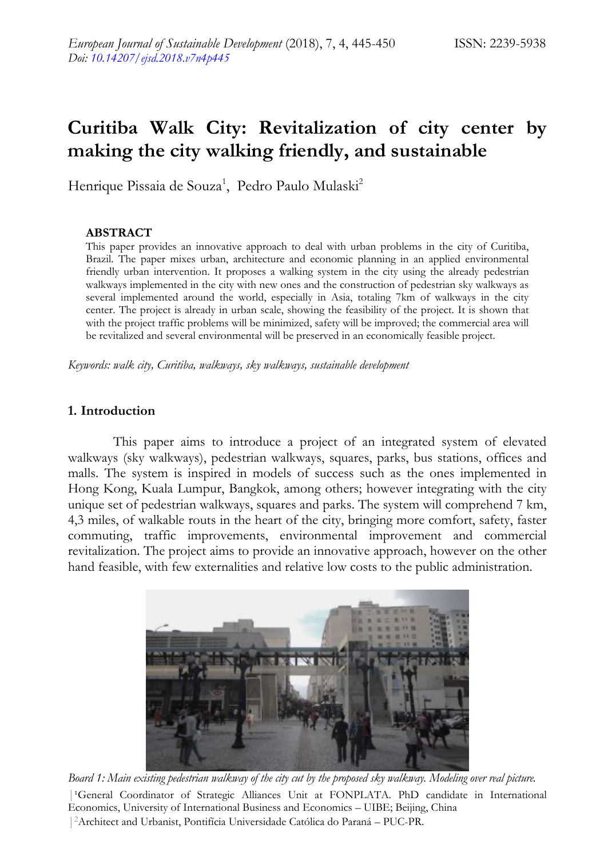# **Curitiba Walk City: Revitalization of city center by making the city walking friendly, and sustainable**

Henrique Pissaia de Souza<sup>1</sup>, Pedro Paulo Mulaski<sup>2</sup>

#### **ABSTRACT**

This paper provides an innovative approach to deal with urban problems in the city of Curitiba, Brazil. The paper mixes urban, architecture and economic planning in an applied environmental friendly urban intervention. It proposes a walking system in the city using the already pedestrian walkways implemented in the city with new ones and the construction of pedestrian sky walkways as several implemented around the world, especially in Asia, totaling 7km of walkways in the city center. The project is already in urban scale, showing the feasibility of the project. It is shown that with the project traffic problems will be minimized, safety will be improved; the commercial area will be revitalized and several environmental will be preserved in an economically feasible project.

*Keywords: walk city, Curitiba, walkways, sky walkways, sustainable development*

#### **1. Introduction**

This paper aims to introduce a project of an integrated system of elevated walkways (sky walkways), pedestrian walkways, squares, parks, bus stations, offices and malls. The system is inspired in models of success such as the ones implemented in Hong Kong, Kuala Lumpur, Bangkok, among others; however integrating with the city unique set of pedestrian walkways, squares and parks. The system will comprehend 7 km, 4,3 miles, of walkable routs in the heart of the city, bringing more comfort, safety, faster commuting, traffic improvements, environmental improvement and commercial revitalization. The project aims to provide an innovative approach, however on the other hand feasible, with few externalities and relative low costs to the public administration.



| General Coordinator of Strategic Alliances Unit at FONPLATA. PhD candidate in International Economics, University of International Business and Economics – UIBE; Beijing, China | <sup>2</sup>Architect and Urbanist, Pontifícia Universidade Católica do Paraná – PUC-PR. *Board 1: Main existing pedestrian walkway of the city cut by the proposed sky walkway. Modeling over real picture.*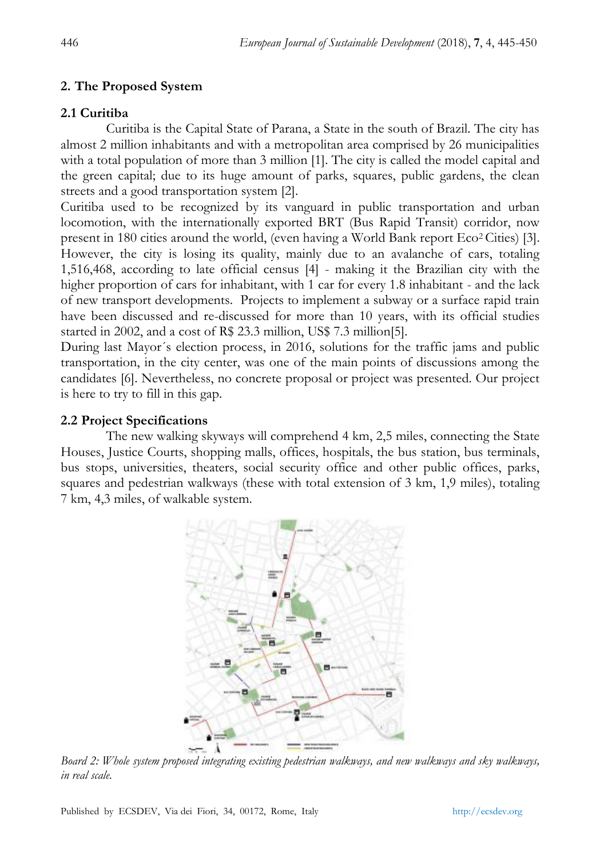# **2. The Proposed System**

# **2.1 Curitiba**

Curitiba is the Capital State of Parana, a State in the south of Brazil. The city has almost 2 million inhabitants and with a metropolitan area comprised by 26 municipalities with a total population of more than 3 million [1]. The city is called the model capital and the green capital; due to its huge amount of parks, squares, public gardens, the clean streets and a good transportation system [2].

Curitiba used to be recognized by its vanguard in public transportation and urban locomotion, with the internationally exported BRT (Bus Rapid Transit) corridor, now present in 180 cities around the world, (even having a World Bank report  $E_{\rm CO}^2$  Cities) [3]. However, the city is losing its quality, mainly due to an avalanche of cars, totaling 1,516,468, according to late official census [4] - making it the Brazilian city with the higher proportion of cars for inhabitant, with 1 car for every 1.8 inhabitant - and the lack of new transport developments. Projects to implement a subway or a surface rapid train have been discussed and re-discussed for more than 10 years, with its official studies started in 2002, and a cost of R\$ 23.3 million, US\$ 7.3 million[5].

During last Mayor´s election process, in 2016, solutions for the traffic jams and public transportation, in the city center, was one of the main points of discussions among the candidates [6]. Nevertheless, no concrete proposal or project was presented. Our project is here to try to fill in this gap.

# **2.2 Project Specifications**

The new walking skyways will comprehend 4 km, 2,5 miles, connecting the State Houses, Justice Courts, shopping malls, offices, hospitals, the bus station, bus terminals, bus stops, universities, theaters, social security office and other public offices, parks, squares and pedestrian walkways (these with total extension of 3 km, 1,9 miles), totaling 7 km, 4,3 miles, of walkable system.



*Board 2: Whole system proposed integrating existing pedestrian walkways, and new walkways and sky walkways, in real scale.*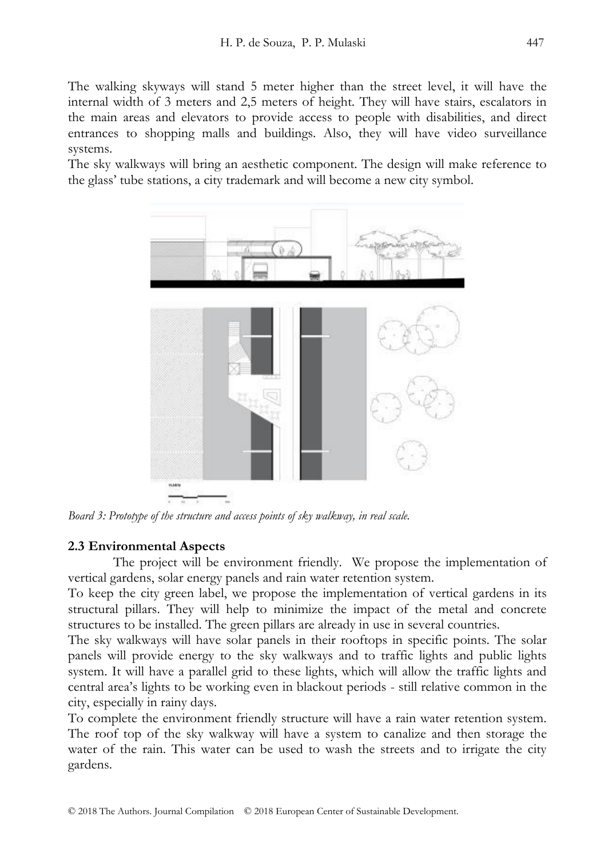The walking skyways will stand 5 meter higher than the street level, it will have the internal width of 3 meters and 2,5 meters of height. They will have stairs, escalators in the main areas and elevators to provide access to people with disabilities, and direct entrances to shopping malls and buildings. Also, they will have video surveillance systems.

The sky walkways will bring an aesthetic component. The design will make reference to the glass' tube stations, a city trademark and will become a new city symbol.



*Board 3: Prototype of the structure and access points of sky walkway, in real scale.*

#### **2.3 Environmental Aspects**

The project will be environment friendly. We propose the implementation of vertical gardens, solar energy panels and rain water retention system.

To keep the city green label, we propose the implementation of vertical gardens in its structural pillars. They will help to minimize the impact of the metal and concrete structures to be installed. The green pillars are already in use in several countries.

The sky walkways will have solar panels in their rooftops in specific points. The solar panels will provide energy to the sky walkways and to traffic lights and public lights system. It will have a parallel grid to these lights, which will allow the traffic lights and central area's lights to be working even in blackout periods - still relative common in the city, especially in rainy days.

To complete the environment friendly structure will have a rain water retention system. The roof top of the sky walkway will have a system to canalize and then storage the water of the rain. This water can be used to wash the streets and to irrigate the city gardens.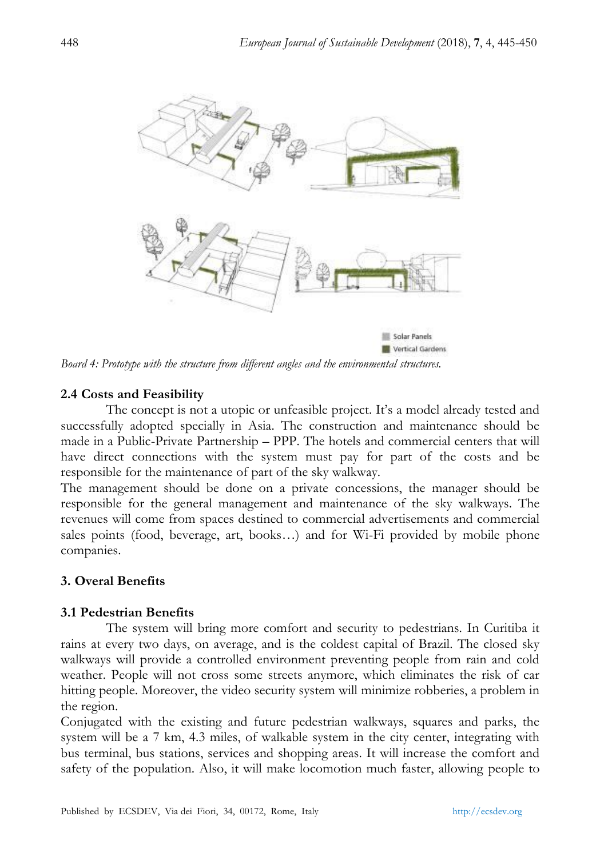

*Board 4: Prototype with the structure from different angles and the environmental structures.*

#### **2.4 Costs and Feasibility**

The concept is not a utopic or unfeasible project. It's a model already tested and successfully adopted specially in Asia. The construction and maintenance should be made in a Public-Private Partnership – PPP. The hotels and commercial centers that will have direct connections with the system must pay for part of the costs and be responsible for the maintenance of part of the sky walkway.

The management should be done on a private concessions, the manager should be responsible for the general management and maintenance of the sky walkways. The revenues will come from spaces destined to commercial advertisements and commercial sales points (food, beverage, art, books…) and for Wi-Fi provided by mobile phone companies.

#### **3. Overal Benefits**

#### **3.1 Pedestrian Benefits**

The system will bring more comfort and security to pedestrians. In Curitiba it rains at every two days, on average, and is the coldest capital of Brazil. The closed sky walkways will provide a controlled environment preventing people from rain and cold weather. People will not cross some streets anymore, which eliminates the risk of car hitting people. Moreover, the video security system will minimize robberies, a problem in the region.

Conjugated with the existing and future pedestrian walkways, squares and parks, the system will be a 7 km, 4.3 miles, of walkable system in the city center, integrating with bus terminal, bus stations, services and shopping areas. It will increase the comfort and safety of the population. Also, it will make locomotion much faster, allowing people to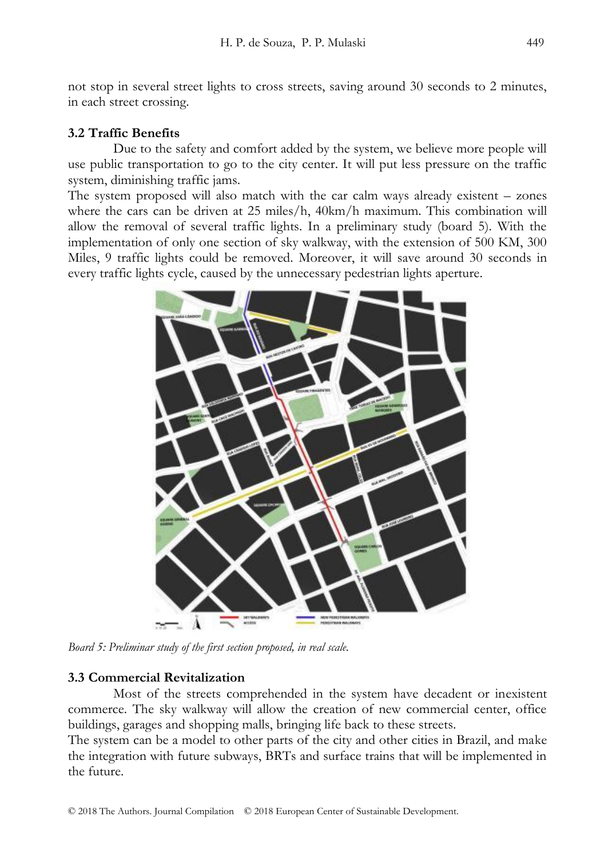not stop in several street lights to cross streets, saving around 30 seconds to 2 minutes, in each street crossing.

## **3.2 Traffic Benefits**

Due to the safety and comfort added by the system, we believe more people will use public transportation to go to the city center. It will put less pressure on the traffic system, diminishing traffic jams.

The system proposed will also match with the car calm ways already existent – zones where the cars can be driven at 25 miles/h, 40km/h maximum. This combination will allow the removal of several traffic lights. In a preliminary study (board 5). With the implementation of only one section of sky walkway, with the extension of 500 KM, 300 Miles, 9 traffic lights could be removed. Moreover, it will save around 30 seconds in every traffic lights cycle, caused by the unnecessary pedestrian lights aperture.



*Board 5: Preliminar study of the first section proposed, in real scale.*

## **3.3 Commercial Revitalization**

Most of the streets comprehended in the system have decadent or inexistent commerce. The sky walkway will allow the creation of new commercial center, office buildings, garages and shopping malls, bringing life back to these streets.

The system can be a model to other parts of the city and other cities in Brazil, and make the integration with future subways, BRTs and surface trains that will be implemented in the future.